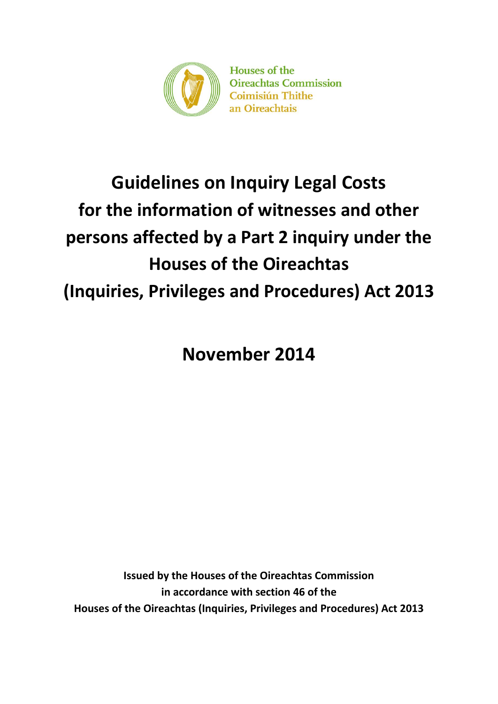

Houses of the **Oireachtas Commission Coimisiún Thithe** an Oireachtais

# **Guidelines on Inquiry Legal Costs for the information of witnesses and other persons affected by a Part 2 inquiry under the Houses of the Oireachtas (Inquiries, Privileges and Procedures) Act 2013**

**November 2014**

**Issued by the Houses of the Oireachtas Commission in accordance with section 46 of the Houses of the Oireachtas (Inquiries, Privileges and Procedures) Act 2013**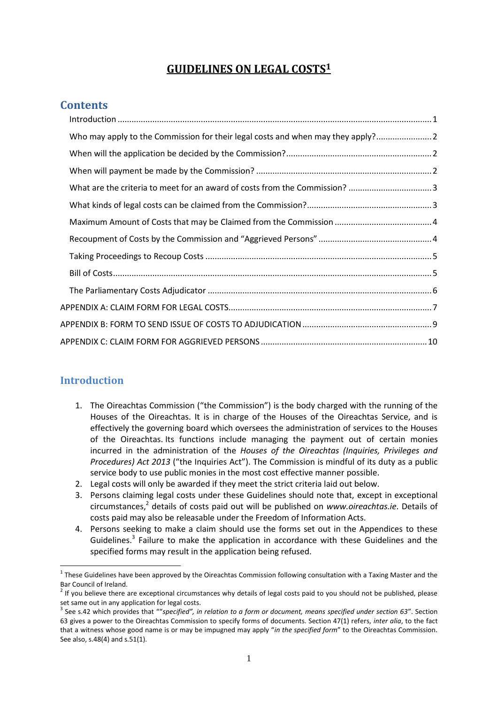# **GUIDELINES ON LEGAL COSTS<sup>1</sup>**

## **Contents**

| Who may apply to the Commission for their legal costs and when may they apply? |  |
|--------------------------------------------------------------------------------|--|
|                                                                                |  |
|                                                                                |  |
|                                                                                |  |
|                                                                                |  |
|                                                                                |  |
|                                                                                |  |
|                                                                                |  |
|                                                                                |  |
|                                                                                |  |
|                                                                                |  |
|                                                                                |  |
|                                                                                |  |

#### <span id="page-1-0"></span>**Introduction**

- 1. The Oireachtas Commission ("the Commission") is the body charged with the running of the Houses of the Oireachtas. It is in charge of the Houses of the Oireachtas Service, and is effectively the governing board which oversees the administration of services to the Houses of the Oireachtas. Its functions include managing the payment out of certain monies incurred in the administration of the *Houses of the Oireachtas (Inquiries, Privileges and Procedures) Act 2013* ("the Inquiries Act"). The Commission is mindful of its duty as a public service body to use public monies in the most cost effective manner possible.
- 2. Legal costs will only be awarded if they meet the strict criteria laid out below.
- 3. Persons claiming legal costs under these Guidelines should note that, except in exceptional circumstances, 2 details of costs paid out will be published on *www.oireachtas.ie*. Details of costs paid may also be releasable under the Freedom of Information Acts.
- 4. Persons seeking to make a claim should use the forms set out in the Appendices to these Guidelines.<sup>3</sup> Failure to make the application in accordance with these Guidelines and the specified forms may result in the application being refused.

 $1$  These Guidelines have been approved by the Oireachtas Commission following consultation with a Taxing Master and the Bar Council of Ireland.

 $2$  If you believe there are exceptional circumstances why details of legal costs paid to you should not be published, please set same out in any application for legal costs.

<sup>&</sup>lt;sup>3</sup> See s.42 which provides that ""specified", in relation to a form or document, means specified under section 63". Section 63 gives a power to the Oireachtas Commission to specify forms of documents. Section 47(1) refers, *inter alia*, to the fact that a witness whose good name is or may be impugned may apply "*in the specified form*" to the Oireachtas Commission. See also, s.48(4) and s.51(1).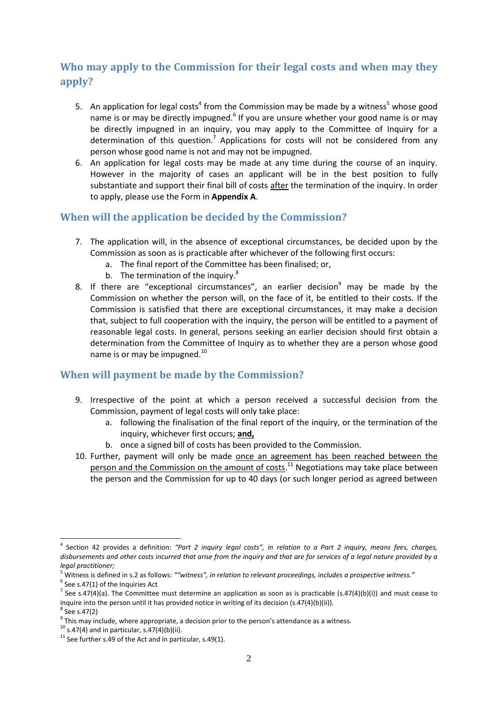# <span id="page-2-0"></span>**Who may apply to the Commission for their legal costs and when may they apply?**

- 5. An application for legal costs<sup>4</sup> from the Commission may be made by a witness<sup>5</sup> whose good name is or may be directly impugned.<sup>6</sup> If you are unsure whether your good name is or may be directly impugned in an inquiry, you may apply to the Committee of Inquiry for a determination of this question.<sup>7</sup> Applications for costs will not be considered from any person whose good name is not and may not be impugned.
- 6. An application for legal costs may be made at any time during the course of an inquiry. However in the majority of cases an applicant will be in the best position to fully substantiate and support their final bill of costs after the termination of the inquiry. In order to apply, please use the Form in **Appendix A**.

## <span id="page-2-1"></span>**When will the application be decided by the Commission?**

- 7. The application will, in the absence of exceptional circumstances, be decided upon by the Commission as soon as is practicable after whichever of the following first occurs:
	- a. The final report of the Committee has been finalised; or,
	- b. The termination of the inquiry.<sup>8</sup>
- 8. If there are "exceptional circumstances", an earlier decision $9$  may be made by the Commission on whether the person will, on the face of it, be entitled to their costs. If the Commission is satisfied that there are exceptional circumstances, it may make a decision that, subject to full cooperation with the inquiry, the person will be entitled to a payment of reasonable legal costs. In general, persons seeking an earlier decision should first obtain a determination from the Committee of Inquiry as to whether they are a person whose good name is or may be impugned.<sup>10</sup>

## <span id="page-2-2"></span>**When will payment be made by the Commission?**

- 9. Irrespective of the point at which a person received a successful decision from the Commission, payment of legal costs will only take place:
	- a. following the finalisation of the final report of the inquiry, or the termination of the inquiry, whichever first occurs; **and,**
	- b. once a signed bill of costs has been provided to the Commission.
- 10. Further, payment will only be made once an agreement has been reached between the person and the Commission on the amount of costs.<sup>11</sup> Negotiations may take place between the person and the Commission for up to 40 days (or such longer period as agreed between

 $6$  See s.47(1) of the Inquiries Act

<sup>4</sup> Section 42 provides a definition: *"Part 2 inquiry legal costs", in relation to a Part 2 inquiry, means fees, charges, disbursements and other costs incurred that arise from the inquiry and that are for services of a legal nature provided by a legal practitioner;*

<sup>5</sup> Witness is defined in s.2 as follows: *""witness", in relation to relevant proceedings, includes a prospective witness."*

<sup>&</sup>lt;sup>7</sup> See s.47(4)(a). The Committee must determine an application as soon as is practicable (s.47(4)(b)(i)) and must cease to inquire into the person until it has provided notice in writing of its decision (s.47(4)(b)(ii)).

 $8$  See s.47(2)

 $9$  This may include, where appropriate, a decision prior to the person's attendance as a witness.

 $10$  s.47(4) and in particular, s.47(4)(b)(ii).

 $11$  See further s.49 of the Act and in particular, s.49(1).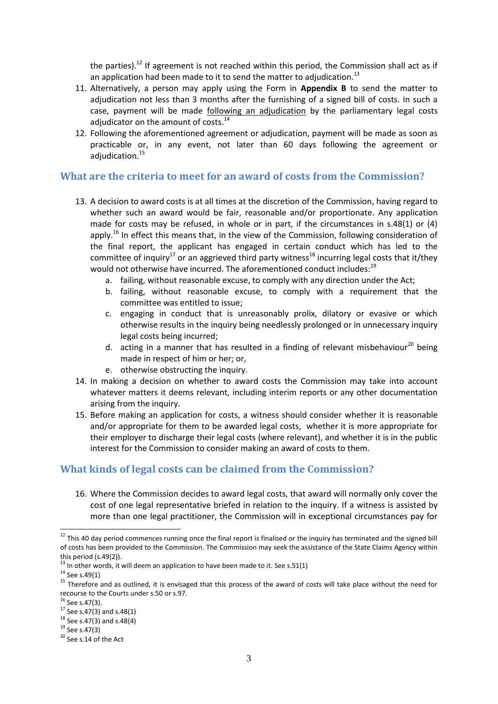the parties).<sup>12</sup> If agreement is not reached within this period, the Commission shall act as if an application had been made to it to send the matter to adjudication.<sup>13</sup>

- 11. Alternatively, a person may apply using the Form in **Appendix B** to send the matter to adjudication not less than 3 months after the furnishing of a signed bill of costs. In such a case, payment will be made following an adjudication by the parliamentary legal costs adjudicator on the amount of costs.<sup>14</sup>
- 12. Following the aforementioned agreement or adjudication, payment will be made as soon as practicable or, in any event, not later than 60 days following the agreement or adiudication.<sup>15</sup>

#### <span id="page-3-0"></span>**What are the criteria to meet for an award of costs from the Commission?**

- 13. A decision to award costs is at all times at the discretion of the Commission, having regard to whether such an award would be fair, reasonable and/or proportionate. Any application made for costs may be refused, in whole or in part, if the circumstances in s.48(1) or (4) apply.<sup>16</sup> In effect this means that, in the view of the Commission, following consideration of the final report, the applicant has engaged in certain conduct which has led to the committee of inquiry<sup>17</sup> or an aggrieved third party witness<sup>18</sup> incurring legal costs that it/they would not otherwise have incurred. The aforementioned conduct includes:<sup>19</sup>
	- a. failing, without reasonable excuse, to comply with any direction under the Act;
	- b. failing, without reasonable excuse, to comply with a requirement that the committee was entitled to issue;
	- c. engaging in conduct that is unreasonably prolix, dilatory or evasive or which otherwise results in the inquiry being needlessly prolonged or in unnecessary inquiry legal costs being incurred;
	- d. acting in a manner that has resulted in a finding of relevant misbehaviour<sup>20</sup> being made in respect of him or her; or,
	- e. otherwise obstructing the inquiry.
- 14. In making a decision on whether to award costs the Commission may take into account whatever matters it deems relevant, including interim reports or any other documentation arising from the inquiry.
- 15. Before making an application for costs, a witness should consider whether it is reasonable and/or appropriate for them to be awarded legal costs, whether it is more appropriate for their employer to discharge their legal costs (where relevant), and whether it is in the public interest for the Commission to consider making an award of costs to them.

#### <span id="page-3-1"></span>**What kinds of legal costs can be claimed from the Commission?**

16. Where the Commission decides to award legal costs, that award will normally only cover the cost of one legal representative briefed in relation to the inquiry. If a witness is assisted by more than one legal practitioner, the Commission will in exceptional circumstances pay for

 $12$  This 40 day period commences running once the final report is finalised or the inquiry has terminated and the signed bill of costs has been provided to the Commission. The Commission may seek the assistance of the State Claims Agency within this period (s.49(2)).

 $^{13}$  In other words, it will deem an application to have been made to it. See s.51(1)

 $14$  See s.49(1)

<sup>&</sup>lt;sup>15</sup> Therefore and as outlined, it is envisaged that this process of the award of costs will take place without the need for recourse to the Courts under s.50 or s.97.

 $16$  See s.47(3).

 $17$  See s.47(3) and s.48(1)

 $18$  See s.47(3) and s.48(4)

 $19$  See s.47(3)

<sup>&</sup>lt;sup>20</sup> See s.14 of the Act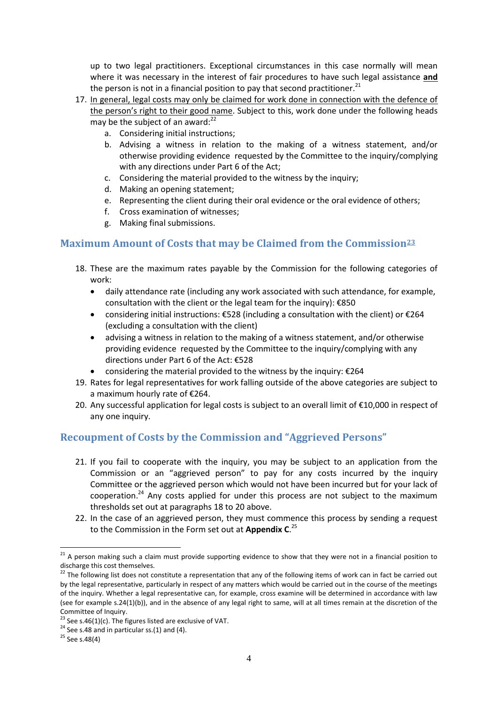up to two legal practitioners. Exceptional circumstances in this case normally will mean where it was necessary in the interest of fair procedures to have such legal assistance **and**  the person is not in a financial position to pay that second practitioner.<sup>21</sup>

- 17. In general, legal costs may only be claimed for work done in connection with the defence of the person's right to their good name. Subject to this, work done under the following heads may be the subject of an award: $22$ 
	- a. Considering initial instructions;
	- b. Advising a witness in relation to the making of a witness statement, and/or otherwise providing evidence requested by the Committee to the inquiry/complying with any directions under Part 6 of the Act;
	- c. Considering the material provided to the witness by the inquiry;
	- d. Making an opening statement;
	- e. Representing the client during their oral evidence or the oral evidence of others;
	- f. Cross examination of witnesses;
	- g. Making final submissions.

## <span id="page-4-0"></span>**Maximum Amount of Costs that may be Claimed from the Commission<sup>23</sup>**

- 18. These are the maximum rates payable by the Commission for the following categories of work:
	- daily attendance rate (including any work associated with such attendance, for example, consultation with the client or the legal team for the inquiry): €850
	- considering initial instructions: €528 (including a consultation with the client) or €264 (excluding a consultation with the client)
	- advising a witness in relation to the making of a witness statement, and/or otherwise providing evidence requested by the Committee to the inquiry/complying with any directions under Part 6 of the Act: €528
	- considering the material provided to the witness by the inquiry: €264
- 19. Rates for legal representatives for work falling outside of the above categories are subject to a maximum hourly rate of €264.
- 20. Any successful application for legal costs is subject to an overall limit of  $\epsilon$ 10,000 in respect of any one inquiry.

## <span id="page-4-1"></span>**Recoupment of Costs by the Commission and "Aggrieved Persons"**

- 21. If you fail to cooperate with the inquiry, you may be subject to an application from the Commission or an "aggrieved person" to pay for any costs incurred by the inquiry Committee or the aggrieved person which would not have been incurred but for your lack of cooperation.<sup>24</sup> Any costs applied for under this process are not subject to the maximum thresholds set out at paragraphs 18 to 20 above.
- 22. In the case of an aggrieved person, they must commence this process by sending a request to the Commission in the Form set out at **Appendix C**. 25

1

 $21$  A person making such a claim must provide supporting evidence to show that they were not in a financial position to discharge this cost themselves.

<sup>&</sup>lt;sup>22</sup> The following list does not constitute a representation that any of the following items of work can in fact be carried out by the legal representative, particularly in respect of any matters which would be carried out in the course of the meetings of the inquiry. Whether a legal representative can, for example, cross examine will be determined in accordance with law (see for example s.24(1)(b)), and in the absence of any legal right to same, will at all times remain at the discretion of the Committee of Inquiry.

<sup>&</sup>lt;sup>23</sup> See s.46(1)(c). The figures listed are exclusive of VAT.

 $24$  See s.48 and in particular ss.(1) and (4).

 $25$  See s.48(4)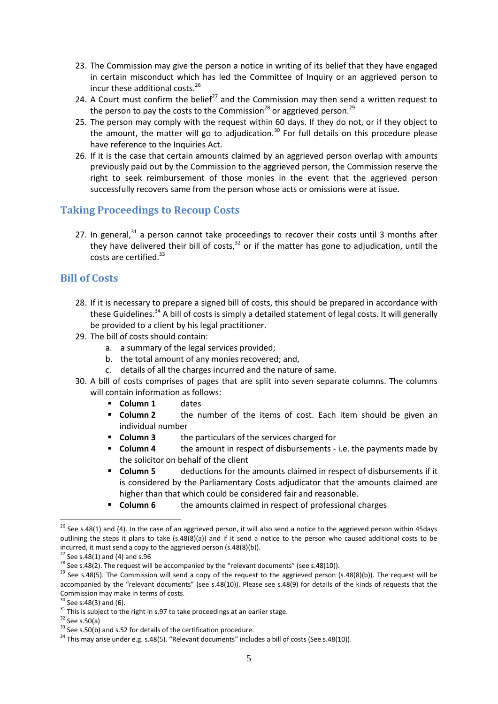- 23. The Commission may give the person a notice in writing of its belief that they have engaged in certain misconduct which has led the Committee of Inquiry or an aggrieved person to incur these additional costs.<sup>26</sup>
- 24. A Court must confirm the belief<sup>27</sup> and the Commission may then send a written request to the person to pay the costs to the Commission<sup>28</sup> or aggrieved person.<sup>29</sup>
- 25. The person may comply with the request within 60 days. If they do not, or if they object to the amount, the matter will go to adjudication.<sup>30</sup> For full details on this procedure please have reference to the Inquiries Act.
- 26. If it is the case that certain amounts claimed by an aggrieved person overlap with amounts previously paid out by the Commission to the aggrieved person, the Commission reserve the right to seek reimbursement of those monies in the event that the aggrieved person successfully recovers same from the person whose acts or omissions were at issue.

#### <span id="page-5-0"></span>**Taking Proceedings to Recoup Costs**

27. In general, $31$  a person cannot take proceedings to recover their costs until 3 months after they have delivered their bill of costs.<sup>32</sup> or if the matter has gone to adjudication, until the costs are certified.<sup>33</sup>

#### <span id="page-5-1"></span>**Bill of Costs**

- 28. If it is necessary to prepare a signed bill of costs, this should be prepared in accordance with these Guidelines.<sup>34</sup> A bill of costs is simply a detailed statement of legal costs. It will generally be provided to a client by his legal practitioner.
- 29. The bill of costs should contain:
	- a. a summary of the legal services provided;
	- b. the total amount of any monies recovered; and,
	- c. details of all the charges incurred and the nature of same.
- 30. A bill of costs comprises of pages that are split into seven separate columns. The columns will contain information as follows:
	- **Column 1** dates
	- **Column 2** the number of the items of cost. Each item should be given an individual number
	- **Column 3** the particulars of the services charged for
	- **Column 4** the amount in respect of disbursements i.e. the payments made by the solicitor on behalf of the client
	- **Column 5** deductions for the amounts claimed in respect of disbursements if it is considered by the Parliamentary Costs adjudicator that the amounts claimed are higher than that which could be considered fair and reasonable.
	- **Column 6** the amounts claimed in respect of professional charges

<sup>1</sup>  $26$  See s.48(1) and (4). In the case of an aggrieved person, it will also send a notice to the aggrieved person within 45days outlining the steps it plans to take (s.48(8)(a)) and if it send a notice to the person who caused additional costs to be incurred, it must send a copy to the aggrieved person (s.48(8)(b)).

 $27$  See s.48(1) and (4) and s.96

 $28$  See s.48(2). The request will be accompanied by the "relevant documents" (see s.48(10)).

 $29$  See s.48(5). The Commission will send a copy of the request to the aggrieved person (s.48(8)(b)). The request will be accompanied by the "relevant documents" (see s.48(10)). Please see s.48(9) for details of the kinds of requests that the Commission may make in terms of costs.

 $30$  See s.48(3) and (6).

 $31$  This is subject to the right in s.97 to take proceedings at an earlier stage.

 $32$  See s.50(a)

 $33$  See s.50(b) and s.52 for details of the certification procedure.

 $34$  This may arise under e.g. s.48(5). "Relevant documents" includes a bill of costs (See s.48(10)).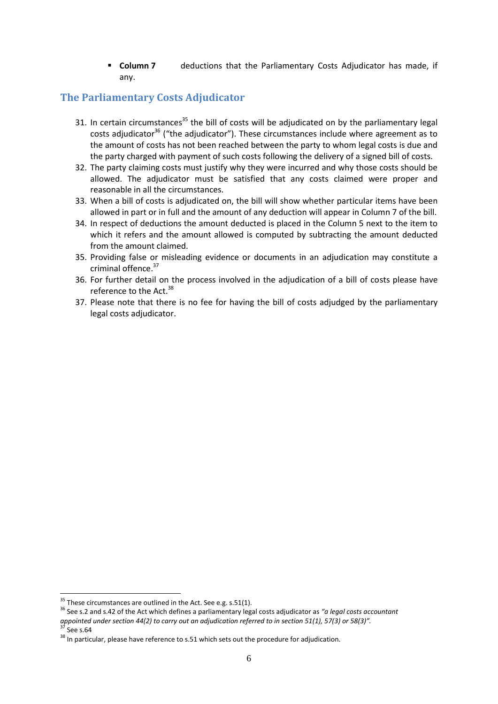**Column 7** deductions that the Parliamentary Costs Adjudicator has made, if any.

## <span id="page-6-0"></span>**The Parliamentary Costs Adjudicator**

- 31. In certain circumstances<sup>35</sup> the bill of costs will be adjudicated on by the parliamentary legal costs adjudicator $36$  ("the adjudicator"). These circumstances include where agreement as to the amount of costs has not been reached between the party to whom legal costs is due and the party charged with payment of such costs following the delivery of a signed bill of costs.
- 32. The party claiming costs must justify why they were incurred and why those costs should be allowed. The adjudicator must be satisfied that any costs claimed were proper and reasonable in all the circumstances.
- 33. When a bill of costs is adjudicated on, the bill will show whether particular items have been allowed in part or in full and the amount of any deduction will appear in Column 7 of the bill.
- 34. In respect of deductions the amount deducted is placed in the Column 5 next to the item to which it refers and the amount allowed is computed by subtracting the amount deducted from the amount claimed.
- 35. Providing false or misleading evidence or documents in an adjudication may constitute a criminal offence.<sup>37</sup>
- 36. For further detail on the process involved in the adjudication of a bill of costs please have reference to the Act.<sup>38</sup>
- 37. Please note that there is no fee for having the bill of costs adjudged by the parliamentary legal costs adjudicator.

 $35$  These circumstances are outlined in the Act. See e.g. s.51(1).

<sup>36</sup> See s.2 and s.42 of the Act which defines a parliamentary legal costs adjudicator as *"a legal costs accountant appointed under section 44(2) to carry out an adjudication referred to in section 51(1), 57(3) or 58(3)".*  $37$  See s.64

 $38$  In particular, please have reference to s.51 which sets out the procedure for adjudication.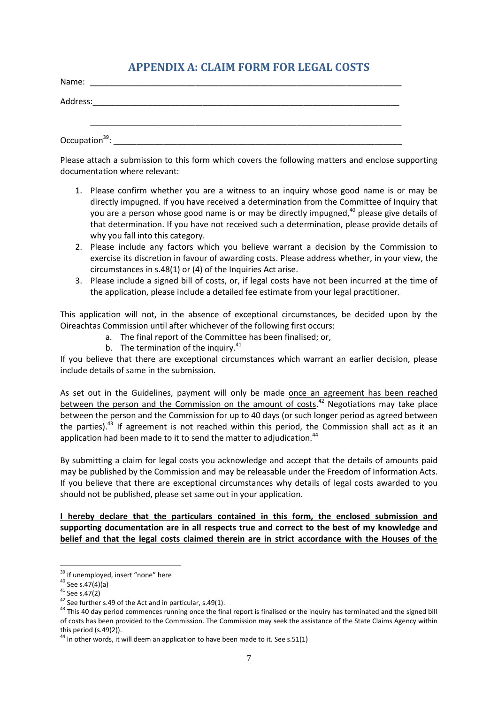# **APPENDIX A: CLAIM FORM FOR LEGAL COSTS**

<span id="page-7-0"></span>

| Name:                      |  |  |  |
|----------------------------|--|--|--|
| Address:                   |  |  |  |
|                            |  |  |  |
| Occupation <sup>39</sup> : |  |  |  |

Please attach a submission to this form which covers the following matters and enclose supporting documentation where relevant:

- 1. Please confirm whether you are a witness to an inquiry whose good name is or may be directly impugned. If you have received a determination from the Committee of Inquiry that you are a person whose good name is or may be directly impugned,<sup>40</sup> please give details of that determination. If you have not received such a determination, please provide details of why you fall into this category.
- 2. Please include any factors which you believe warrant a decision by the Commission to exercise its discretion in favour of awarding costs. Please address whether, in your view, the circumstances in s.48(1) or (4) of the Inquiries Act arise.
- 3. Please include a signed bill of costs, or, if legal costs have not been incurred at the time of the application, please include a detailed fee estimate from your legal practitioner.

This application will not, in the absence of exceptional circumstances, be decided upon by the Oireachtas Commission until after whichever of the following first occurs:

- a. The final report of the Committee has been finalised; or,
- b. The termination of the inquiry. $41$

If you believe that there are exceptional circumstances which warrant an earlier decision, please include details of same in the submission.

As set out in the Guidelines, payment will only be made once an agreement has been reached between the person and the Commission on the amount of costs.<sup>42</sup> Negotiations may take place between the person and the Commission for up to 40 days (or such longer period as agreed between the parties).<sup>43</sup> If agreement is not reached within this period, the Commission shall act as it an application had been made to it to send the matter to adjudication.<sup>44</sup>

By submitting a claim for legal costs you acknowledge and accept that the details of amounts paid may be published by the Commission and may be releasable under the Freedom of Information Acts. If you believe that there are exceptional circumstances why details of legal costs awarded to you should not be published, please set same out in your application.

**I hereby declare that the particulars contained in this form, the enclosed submission and supporting documentation are in all respects true and correct to the best of my knowledge and belief and that the legal costs claimed therein are in strict accordance with the Houses of the** 

<sup>&</sup>lt;sup>39</sup> If unemployed, insert "none" here

 $40$  See s.47(4)(a)

<sup>41</sup> See s.47(2)

<sup>&</sup>lt;sup>42</sup> See further s.49 of the Act and in particular, s.49(1).

<sup>&</sup>lt;sup>43</sup> This 40 day period commences running once the final report is finalised or the inquiry has terminated and the signed bill of costs has been provided to the Commission. The Commission may seek the assistance of the State Claims Agency within this period (s.49(2)).

 $44$  In other words, it will deem an application to have been made to it. See s.51(1)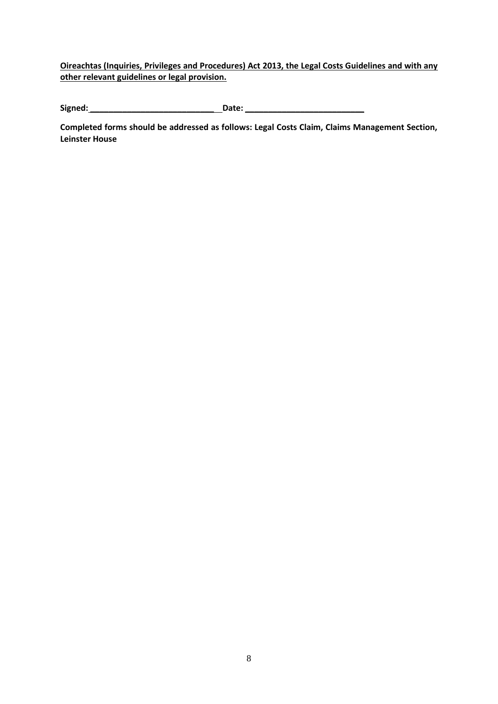**Oireachtas (Inquiries, Privileges and Procedures) Act 2013, the Legal Costs Guidelines and with any other relevant guidelines or legal provision.** 

**Signed: \_\_\_\_\_\_\_\_\_\_\_\_\_\_\_\_\_\_\_\_\_\_\_\_\_\_\_ Date: \_\_\_\_\_\_\_\_\_\_\_\_\_\_\_\_\_\_\_\_\_\_\_\_\_\_**

**Completed forms should be addressed as follows: Legal Costs Claim, Claims Management Section, Leinster House**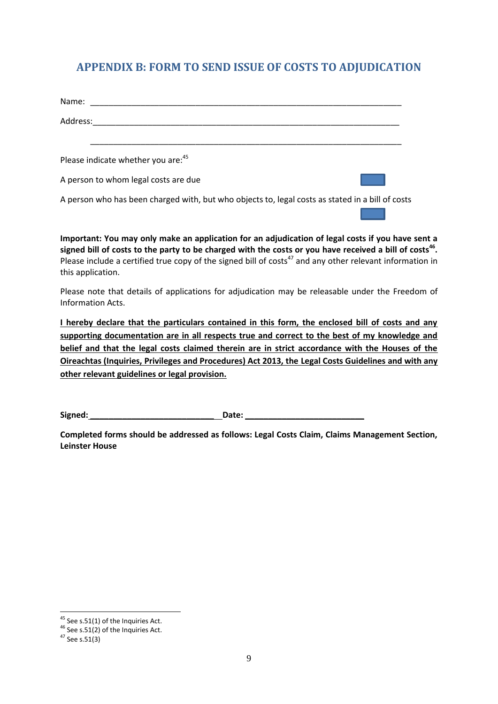# <span id="page-9-0"></span>**APPENDIX B: FORM TO SEND ISSUE OF COSTS TO ADJUDICATION**

| Name:                                                                                            |  |
|--------------------------------------------------------------------------------------------------|--|
| Address:                                                                                         |  |
| Please indicate whether you are: 45                                                              |  |
| A person to whom legal costs are due                                                             |  |
| A person who has been charged with, but who objects to, legal costs as stated in a bill of costs |  |

**Important: You may only make an application for an adjudication of legal costs if you have sent a signed bill of costs to the party to be charged with the costs or you have received a bill of costs<sup>46</sup> .**  Please include a certified true copy of the signed bill of costs<sup>47</sup> and any other relevant information in this application.

Please note that details of applications for adjudication may be releasable under the Freedom of Information Acts.

**I hereby declare that the particulars contained in this form, the enclosed bill of costs and any supporting documentation are in all respects true and correct to the best of my knowledge and belief and that the legal costs claimed therein are in strict accordance with the Houses of the Oireachtas (Inquiries, Privileges and Procedures) Act 2013, the Legal Costs Guidelines and with any other relevant guidelines or legal provision.** 

**Signed: \_\_\_\_\_\_\_\_\_\_\_\_\_\_\_\_\_\_\_\_\_\_\_\_\_\_\_ Date: \_\_\_\_\_\_\_\_\_\_\_\_\_\_\_\_\_\_\_\_\_\_\_\_\_\_**

**Completed forms should be addressed as follows: Legal Costs Claim, Claims Management Section, Leinster House**

1

 $45$  See s.51(1) of the Inquiries Act.

<sup>46</sup> See s.51(2) of the Inquiries Act.

<sup>47</sup> See s.51(3)